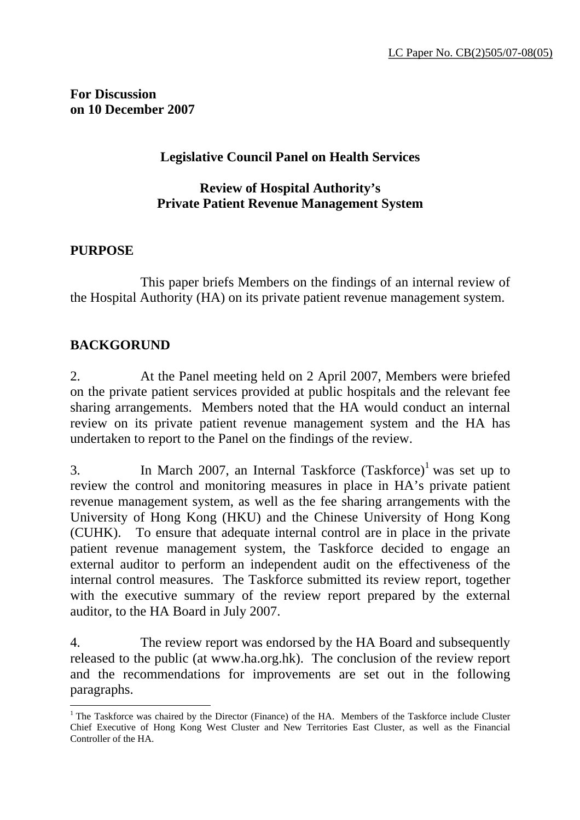**For Discussion on 10 December 2007** 

## **Legislative Council Panel on Health Services**

## **Review of Hospital Authority's Private Patient Revenue Management System**

## **PURPOSE**

 $\overline{a}$ 

 This paper briefs Members on the findings of an internal review of the Hospital Authority (HA) on its private patient revenue management system.

# **BACKGORUND**

2. At the Panel meeting held on 2 April 2007, Members were briefed on the private patient services provided at public hospitals and the relevant fee sharing arrangements. Members noted that the HA would conduct an internal review on its private patient revenue management system and the HA has undertaken to report to the Panel on the findings of the review.

3. In March 2007, an Internal Taskforce  $(Taskforce)^{1}$  was set up to review the control and monitoring measures in place in HA's private patient revenue management system, as well as the fee sharing arrangements with the University of Hong Kong (HKU) and the Chinese University of Hong Kong (CUHK). To ensure that adequate internal control are in place in the private patient revenue management system, the Taskforce decided to engage an external auditor to perform an independent audit on the effectiveness of the internal control measures. The Taskforce submitted its review report, together with the executive summary of the review report prepared by the external auditor, to the HA Board in July 2007.

4. The review report was endorsed by the HA Board and subsequently released to the public (at www.ha.org.hk). The conclusion of the review report and the recommendations for improvements are set out in the following paragraphs.

<sup>&</sup>lt;sup>1</sup> The Taskforce was chaired by the Director (Finance) of the HA. Members of the Taskforce include Cluster Chief Executive of Hong Kong West Cluster and New Territories East Cluster, as well as the Financial Controller of the HA.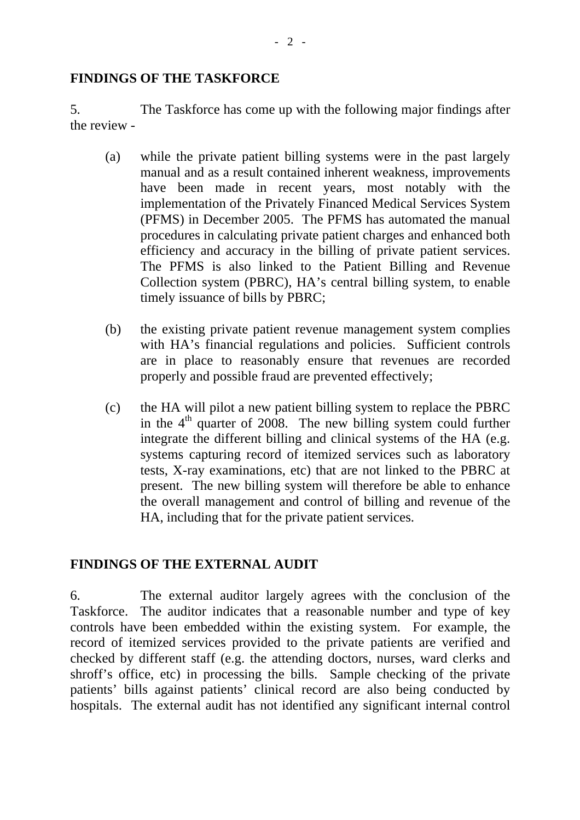#### **FINDINGS OF THE TASKFORCE**

5. The Taskforce has come up with the following major findings after the review -

- (a) while the private patient billing systems were in the past largely manual and as a result contained inherent weakness, improvements have been made in recent years, most notably with the implementation of the Privately Financed Medical Services System (PFMS) in December 2005. The PFMS has automated the manual procedures in calculating private patient charges and enhanced both efficiency and accuracy in the billing of private patient services. The PFMS is also linked to the Patient Billing and Revenue Collection system (PBRC), HA's central billing system, to enable timely issuance of bills by PBRC;
- (b) the existing private patient revenue management system complies with HA's financial regulations and policies. Sufficient controls are in place to reasonably ensure that revenues are recorded properly and possible fraud are prevented effectively;
- (c) the HA will pilot a new patient billing system to replace the PBRC in the  $4<sup>th</sup>$  quarter of 2008. The new billing system could further integrate the different billing and clinical systems of the HA (e.g. systems capturing record of itemized services such as laboratory tests, X-ray examinations, etc) that are not linked to the PBRC at present. The new billing system will therefore be able to enhance the overall management and control of billing and revenue of the HA, including that for the private patient services.

# **FINDINGS OF THE EXTERNAL AUDIT**

6. The external auditor largely agrees with the conclusion of the Taskforce. The auditor indicates that a reasonable number and type of key controls have been embedded within the existing system. For example, the record of itemized services provided to the private patients are verified and checked by different staff (e.g. the attending doctors, nurses, ward clerks and shroff's office, etc) in processing the bills. Sample checking of the private patients' bills against patients' clinical record are also being conducted by hospitals. The external audit has not identified any significant internal control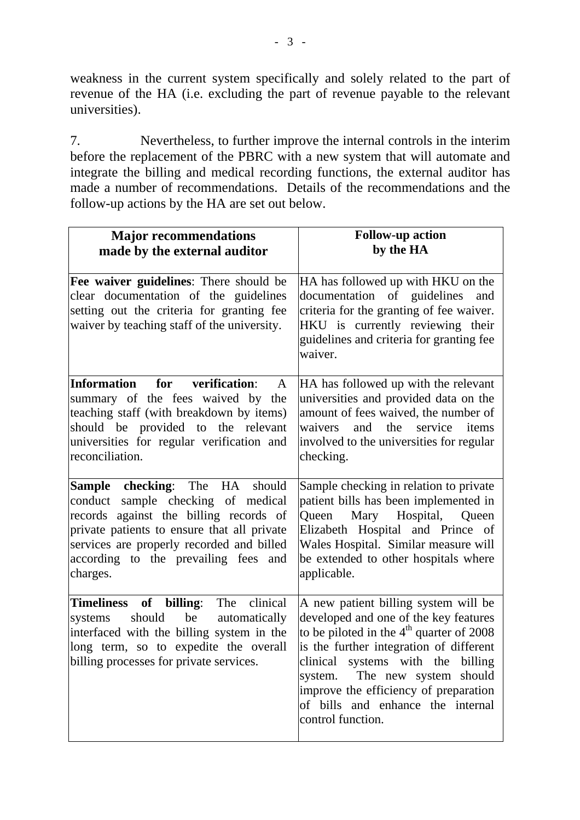weakness in the current system specifically and solely related to the part of revenue of the HA (i.e. excluding the part of revenue payable to the relevant universities).

7. Nevertheless, to further improve the internal controls in the interim before the replacement of the PBRC with a new system that will automate and integrate the billing and medical recording functions, the external auditor has made a number of recommendations. Details of the recommendations and the follow-up actions by the HA are set out below.

| <b>Major recommendations</b><br>made by the external auditor                                                                                                                                                                                                          | <b>Follow-up action</b><br>by the HA                                                                                                                                                                                                                                                                                                               |
|-----------------------------------------------------------------------------------------------------------------------------------------------------------------------------------------------------------------------------------------------------------------------|----------------------------------------------------------------------------------------------------------------------------------------------------------------------------------------------------------------------------------------------------------------------------------------------------------------------------------------------------|
| <b>Fee waiver guidelines:</b> There should be<br>clear documentation of the guidelines<br>setting out the criteria for granting fee<br>waiver by teaching staff of the university.                                                                                    | HA has followed up with HKU on the<br>documentation of guidelines<br>and<br>criteria for the granting of fee waiver.<br>HKU is currently reviewing their<br>guidelines and criteria for granting fee<br>waiver.                                                                                                                                    |
| Information<br>for verification:<br>$\mathbf{A}$<br>summary of the fees waived by the<br>teaching staff (with breakdown by items)<br>should be provided to the relevant<br>universities for regular verification and<br>reconciliation.                               | HA has followed up with the relevant<br>universities and provided data on the<br>amount of fees waived, the number of<br>waivers<br>and<br>the<br>service<br>items<br>involved to the universities for regular<br>checking.                                                                                                                        |
| <b>Sample checking:</b> The HA should<br>conduct sample checking of medical<br>records against the billing records of<br>private patients to ensure that all private<br>services are properly recorded and billed<br>according to the prevailing fees and<br>charges. | Sample checking in relation to private<br>patient bills has been implemented in<br>Mary Hospital, Queen<br>Queen<br>Elizabeth Hospital and Prince of<br>Wales Hospital. Similar measure will<br>be extended to other hospitals where<br>applicable.                                                                                                |
| Timeliness of billing: The clinical<br>should<br>be<br>automatically<br>systems<br>interfaced with the billing system in the<br>long term, so to expedite the overall<br>billing processes for private services.                                                      | A new patient billing system will be<br>developed and one of the key features<br>to be piloted in the $4th$ quarter of 2008<br>is the further integration of different<br>clinical systems with the billing<br>The new system should<br>system.<br>improve the efficiency of preparation<br>of bills and enhance the internal<br>control function. |